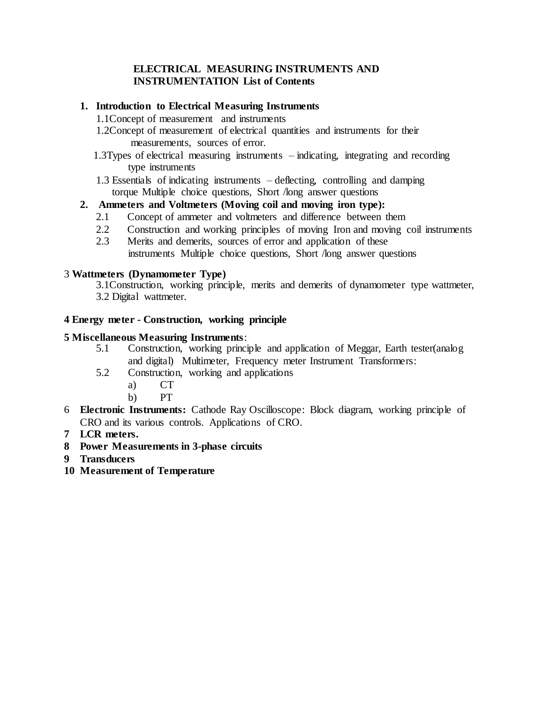# **ELECTRICAL MEASURING INSTRUMENTS AND INSTRUMENTATION List of Contents**

# **1. Introduction to Electrical Measuring Instruments**

- 1.1Concept of measurement and instruments
- 1.2Concept of measurement of electrical quantities and instruments for their measurements, sources of error.
- 1.3Types of electrical measuring instruments indicating, integrating and recording type instruments
- 1.3 Essentials of indicating instruments deflecting, controlling and damping torque Multiple choice questions, Short /long answer questions

# **2. Ammeters and Voltmeters (Moving coil and moving iron type):**

- 2.1 Concept of ammeter and voltmeters and difference between them
- 2.2 Construction and working principles of moving Iron and moving coil instruments
- 2.3 Merits and demerits, sources of error and application of these instruments Multiple choice questions, Short /long answer questions

# 3 **Wattmeters (Dynamometer Type)**

3.1Construction, working principle, merits and demerits of dynamometer type wattmeter, 3.2 Digital wattmeter.

# **4 Energy meter - Construction, working principle**

# **5 Miscellaneous Measuring Instruments**:

- 5.1 Construction, working principle and application of Meggar, Earth tester(analog and digital) Multimeter, Frequency meter Instrument Transformers:
- 5.2 Construction, working and applications
	- a) CT
	- b) PT
- 6 **Electronic Instruments:** Cathode Ray Oscilloscope: Block diagram, working principle of CRO and its various controls. Applications of CRO.
- **7 LCR meters.**
- **8 Power Measurements in 3-phase circuits**
- **9 Transducers**
- **10 Measurement of Temperature**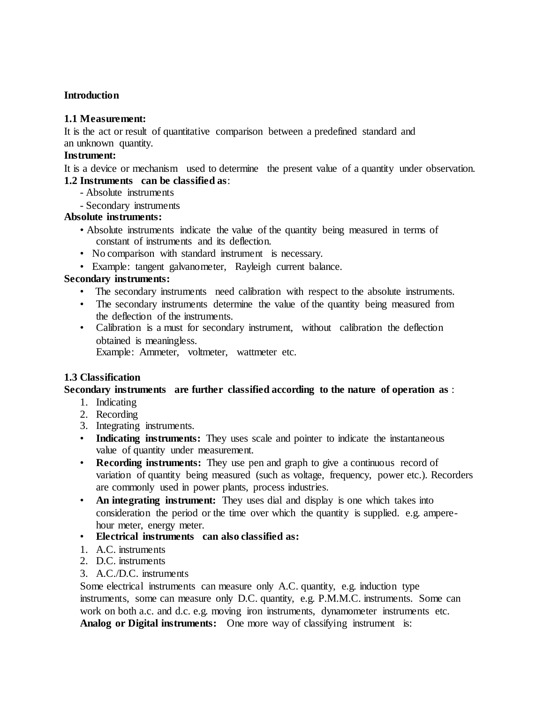# **Introduction**

# **1.1 Measurement:**

It is the act or result of quantitative comparison between a predefined standard and an unknown quantity.

#### **Instrument:**

It is a device or mechanism used to determine the present value of a quantity under observation. **1.2 Instruments can be classified as**:

- Absolute instruments
- Secondary instruments

### **Absolute instruments:**

- Absolute instruments indicate the value of the quantity being measured in terms of constant of instruments and its deflection.
- No comparison with standard instrument is necessary.
- Example: tangent galvanometer, Rayleigh current balance.

### **Secondary instruments:**

- The secondary instruments need calibration with respect to the absolute instruments.
- The secondary instruments determine the value of the quantity being measured from the deflection of the instruments.
- Calibration is a must for secondary instrument, without calibration the deflection obtained is meaningless.

Example: Ammeter, voltmeter, wattmeter etc.

# **1.3 Classification**

#### **Secondary instruments are further classified according to the nature of operation as** :

- 1. Indicating
- 2. Recording
- 3. Integrating instruments.
- **Indicating instruments:** They uses scale and pointer to indicate the instantaneous value of quantity under measurement.
- **Recording instruments:** They use pen and graph to give a continuous record of variation of quantity being measured (such as voltage, frequency, power etc.). Recorders are commonly used in power plants, process industries.
- **An integrating instrument:** They uses dial and display is one which takes into consideration the period or the time over which the quantity is supplied. e.g. amperehour meter, energy meter.
- **Electrical instruments can also classified as:**
- 1. A.C. instruments
- 2. D.C. instruments
- 3. A.C./D.C. instruments

Some electrical instruments can measure only A.C. quantity, e.g. induction type instruments, some can measure only D.C. quantity, e.g. P.M.M.C. instruments. Some can work on both a.c. and d.c. e.g. moving iron instruments, dynamometer instruments etc. **Analog or Digital instruments:** One more way of classifying instrument is: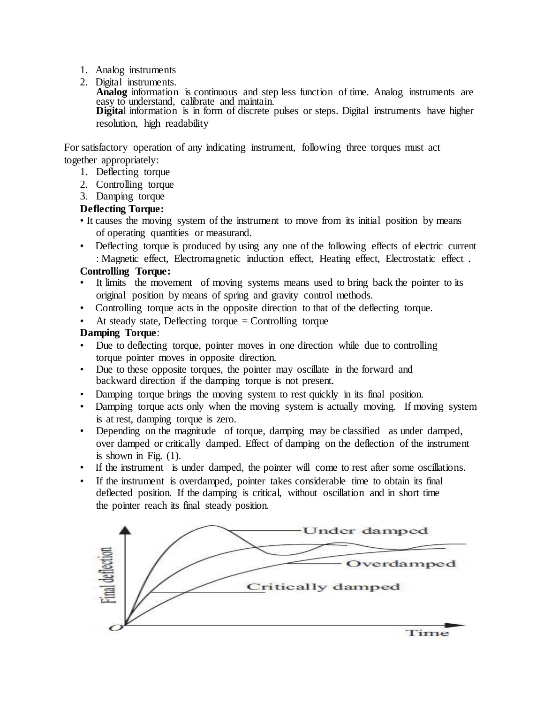- 1. Analog instruments
- 2. Digital instruments.

**Analog** information is continuous and step less function of time. Analog instruments are easy to understand, calibrate and maintain. **Digita**l information is in form of discrete pulses or steps. Digital instruments have higher resolution, high readability

For satisfactory operation of any indicating instrument, following three torques must act together appropriately:

- 1. Deflecting torque
- 2. Controlling torque
- 3. Damping torque

# **Deflecting Torque:**

- It causes the moving system of the instrument to move from its initial position by means of operating quantities or measurand.
- Deflecting torque is produced by using any one of the following effects of electric current : Magnetic effect, Electromagnetic induction effect, Heating effect, Electrostatic effect .

# **Controlling Torque:**

- It limits the movement of moving systems means used to bring back the pointer to its original position by means of spring and gravity control methods.
- Controlling torque acts in the opposite direction to that of the deflecting torque.
- At steady state, Deflecting torque  $=$  Controlling torque

# **Damping Torque**:

- Due to deflecting torque, pointer moves in one direction while due to controlling torque pointer moves in opposite direction.
- Due to these opposite torques, the pointer may oscillate in the forward and backward direction if the damping torque is not present.
- Damping torque brings the moving system to rest quickly in its final position.
- Damping torque acts only when the moving system is actually moving. If moving system is at rest, damping torque is zero.
- Depending on the magnitude of torque, damping may be classified as under damped, over damped or critically damped. Effect of damping on the deflection of the instrument is shown in Fig. (1).
- If the instrument is under damped, the pointer will come to rest after some oscillations.
- If the instrument is overdamped, pointer takes considerable time to obtain its final deflected position. If the damping is critical, without oscillation and in short time the pointer reach its final steady position.

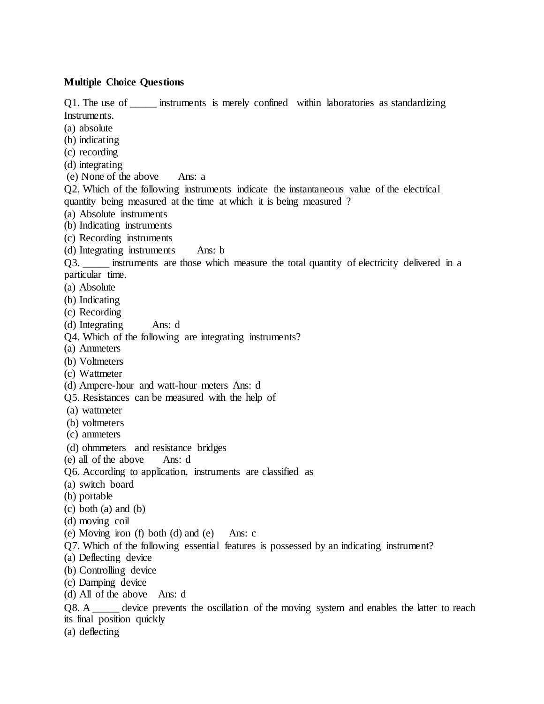#### **Multiple Choice Questions**

Q1. The use of \_\_\_\_\_\_ instruments is merely confined within laboratories as standardizing Instruments.

- (a) absolute
- (b) indicating
- (c) recording
- (d) integrating
- (e) None of the above Ans: a

Q2. Which of the following instruments indicate the instantaneous value of the electrical quantity being measured at the time at which it is being measured ?

- (a) Absolute instruments
- (b) Indicating instruments
- (c) Recording instruments
- (d) Integrating instruments Ans: b

Q3. \_\_\_\_\_ instruments are those which measure the total quantity of electricity delivered in a particular time.

- (a) Absolute
- (b) Indicating
- (c) Recording
- (d) Integrating Ans: d
- Q4. Which of the following are integrating instruments?
- (a) Ammeters
- (b) Voltmeters
- (c) Wattmeter
- (d) Ampere-hour and watt-hour meters Ans: d
- Q5. Resistances can be measured with the help of
- (a) wattmeter
- (b) voltmeters
- (c) ammeters
- (d) ohmmeters and resistance bridges
- (e) all of the above Ans: d
- Q6. According to application, instruments are classified as
- (a) switch board
- (b) portable
- (c) both (a) and (b)
- (d) moving coil
- (e) Moving iron (f) both (d) and (e) Ans: c
- Q7. Which of the following essential features is possessed by an indicating instrument?
- (a) Deflecting device
- (b) Controlling device
- (c) Damping device
- (d) All of the above Ans: d

Q8. A \_\_\_\_\_\_ device prevents the oscillation of the moving system and enables the latter to reach its final position quickly

(a) deflecting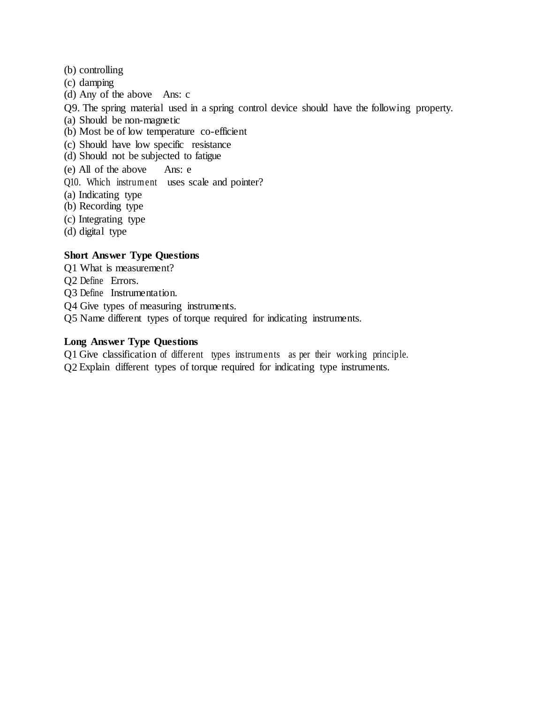- (b) controlling
- (c) damping
- (d) Any of the above Ans: c
- Q9. The spring material used in a spring control device should have the following property.
- (a) Should be non-magnetic
- (b) Most be of low temperature co-efficient
- (c) Should have low specific resistance
- (d) Should not be subjected to fatigue
- (e) All of the above Ans: e
- Q10. Which instrument uses scale and pointer?
- (a) Indicating type
- (b) Recording type
- (c) Integrating type
- (d) digital type

# **Short Answer Type Questions**

- Q1 What is measurement?
- Q2 Define Errors.
- Q3 Define Instrumentation.
- Q4 Give types of measuring instruments.
- Q5 Name different types of torque required for indicating instruments.

### **Long Answer Type Questions**

Q1 Give classification of different types instruments as per their working principle. Q2 Explain different types of torque required for indicating type instruments.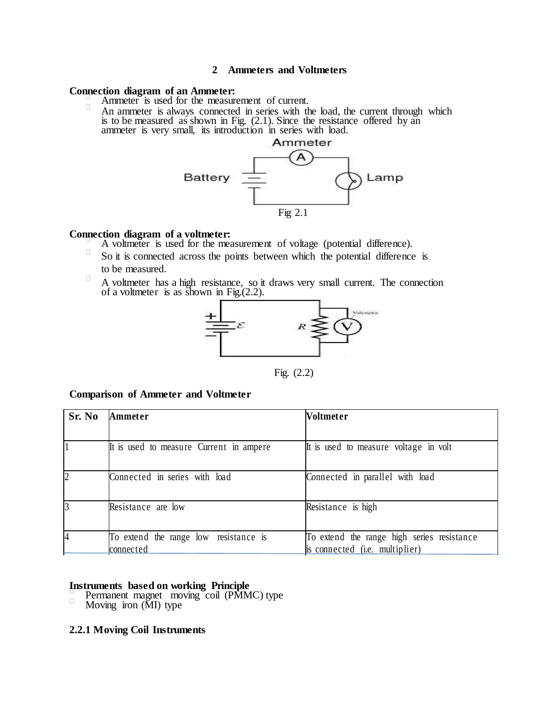#### **2 Ammeters and Voltmeters**

#### **Connection diagram of an Ammeter:**

- Ammeter is used for the measurement of current.
- $\Box$ An ammeter is always connected in series with the load, the current through which is to be measured as shown in Fig. (2.1). Since the resistance offered by an ammeter is very small, its introduction in series with load.



### **Connection diagram of a voltmeter:**

- A voltmeter is used for the measurement of voltage (potential difference).
- $\Box$ So it is connected across the points between which the potential difference is to be measured.
- $\Box$ A voltmeter has a high resistance, so it draws very small current. The connection of a voltmeter is as shown in Fig. $(2.2)$ .



Fig. (2.2)

#### **Comparison of Ammeter and Voltmeter**

| Sr. No         | Ammeter                                 | Voltmeter                                  |
|----------------|-----------------------------------------|--------------------------------------------|
|                |                                         |                                            |
|                | It is used to measure Current in ampere | It is used to measure voltage in volt      |
| $\overline{2}$ | Connected in series with load           | Connected in parallel with load            |
| 3              | Resistance are low                      | Resistance is high                         |
|                | To extend the range low resistance is   | To extend the range high series resistance |
|                | connected                               | is connected (i.e. multiplier)             |

#### **Instruments based on working Principle**

- Permanent magnet moving coil (PMMC) type  $\Box$
- Moving iron (MI) type

#### **2.2.1 Moving Coil Instruments**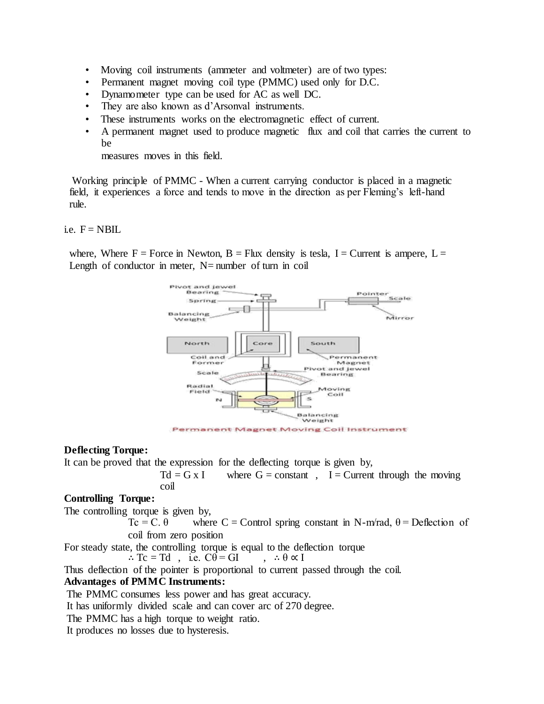- Moving coil instruments (ammeter and voltmeter) are of two types:
- Permanent magnet moving coil type (PMMC) used only for D.C.
- Dynamometer type can be used for AC as well DC.
- They are also known as d'Arsonval instruments.
- These instruments works on the electromagnetic effect of current.
- A permanent magnet used to produce magnetic flux and coil that carries the current to be

measures moves in this field.

Working principle of PMMC - When a current carrying conductor is placed in a magnetic field, it experiences a force and tends to move in the direction as per Fleming's left-hand rule.

i.e.  $F = NBIL$ 

where, Where  $F =$  Force in Newton,  $B =$  Flux density is tesla, I = Current is ampere, L = Length of conductor in meter,  $N=$  number of turn in coil



#### **Deflecting Torque:**

It can be proved that the expression for the deflecting torque is given by,

$$
Td = G \times I \qquad \text{where } G = \text{constant} \quad , \quad I = \text{Current through the moving } \text{coil}
$$

### **Controlling Torque:**

The controlling torque is given by,

Tc = C.  $\theta$  where C = Control spring constant in N-m/rad,  $\theta$  = Deflection of coil from zero position

For steady state, the controlling torque is equal to the deflection torque

 $\therefore$  Tc = Td, i.e. C $\theta = GI$ ,  $\therefore \theta \propto I$ 

Thus deflection of the pointer is proportional to current passed through the coil.

# **Advantages of PMMC Instruments:**

The PMMC consumes less power and has great accuracy.

It has uniformly divided scale and can cover arc of 270 degree.

The PMMC has a high torque to weight ratio.

It produces no losses due to hysteresis.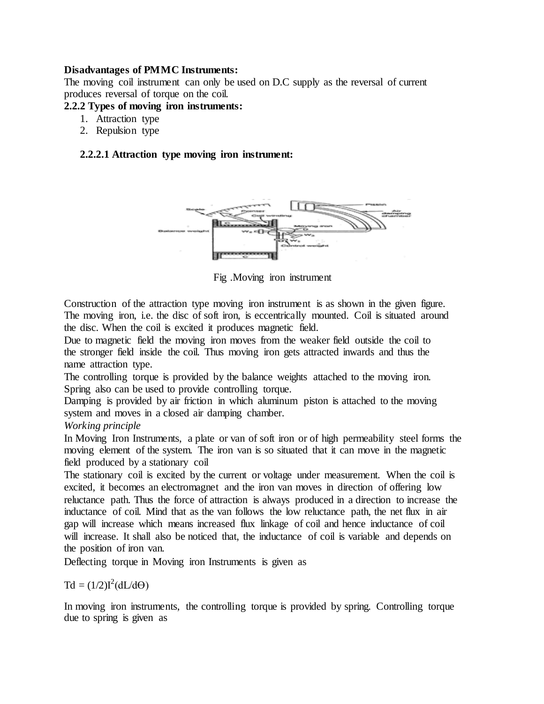### **Disadvantages of PMMC Instruments:**

The moving coil instrument can only be used on D.C supply as the reversal of current produces reversal of torque on the coil.

### **2.2.2 Types of moving iron instruments:**

- 1. Attraction type
- 2. Repulsion type

### **2.2.2.1 Attraction type moving iron instrument:**



Fig .Moving iron instrument

Construction of the attraction type moving iron instrument is as shown in the given figure. The moving iron, i.e. the disc of soft iron, is eccentrically mounted. Coil is situated around the disc. When the coil is excited it produces magnetic field.

Due to magnetic field the moving iron moves from the weaker field outside the coil to the stronger field inside the coil. Thus moving iron gets attracted inwards and thus the name attraction type.

The controlling torque is provided by the balance weights attached to the moving iron. Spring also can be used to provide controlling torque.

Damping is provided by air friction in which aluminum piston is attached to the moving system and moves in a closed air damping chamber.

### *Working principle*

In Moving Iron Instruments, a plate or van of soft iron or of high permeability steel forms the moving element of the system. The iron van is so situated that it can move in the magnetic field produced by a stationary coil

The stationary coil is excited by the current or voltage under measurement. When the coil is excited, it becomes an electromagnet and the iron van moves in direction of offering low reluctance path. Thus the force of attraction is always produced in a direction to increase the inductance of coil. Mind that as the van follows the low reluctance path, the net flux in air gap will increase which means increased flux linkage of coil and hence inductance of coil will increase. It shall also be noticed that, the inductance of coil is variable and depends on the position of iron van.

Deflecting torque in Moving iron Instruments is given as

 $\text{Td} = (1/2)I^2(\text{d}L/\text{d}\Theta)$ 

In moving iron instruments, the controlling torque is provided by spring. Controlling torque due to spring is given as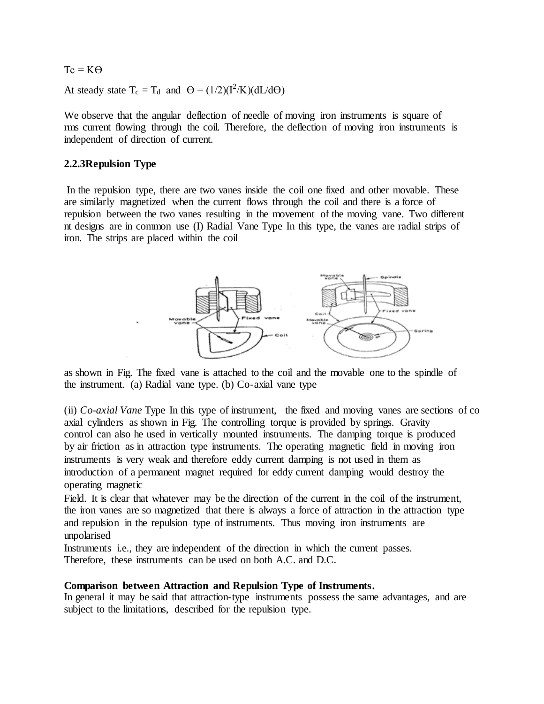$Tc = K\Theta$ 

At steady state  $T_c = T_d$  and  $\Theta = (1/2)(I^2/K)(dL/d\Theta)$ 

We observe that the angular deflection of needle of moving iron instruments is square of rms current flowing through the coil. Therefore, the deflection of moving iron instruments is independent of direction of current.

### **2.2.3Repulsion Type**

In the repulsion type, there are two vanes inside the coil one fixed and other movable. These are similarly magnetized when the current flows through the coil and there is a force of repulsion between the two vanes resulting in the movement of the moving vane. Two different nt designs are in common use (I) Radial Vane Type In this type, the vanes are radial strips of iron. The strips are placed within the coil



as shown in Fig. The fixed vane is attached to the coil and the movable one to the spindle of the instrument. (a) Radial vane type. (b) Co-axial vane type

(ii) *Co-axial Vane* Type In this type of instrument, the fixed and moving vanes are sections of co axial cylinders as shown in Fig. The controlling torque is provided by springs. Gravity control can also he used in vertically mounted instruments. The damping torque is produced by air friction as in attraction type instruments. The operating magnetic field in moving iron instruments is very weak and therefore eddy current damping is not used in them as introduction of a permanent magnet required for eddy current damping would destroy the operating magnetic

Field. It is clear that whatever may be the direction of the current in the coil of the instrument, the iron vanes are so magnetized that there is always a force of attraction in the attraction type and repulsion in the repulsion type of instruments. Thus moving iron instruments are unpolarised

Instruments i.e., they are independent of the direction in which the current passes. Therefore, these instruments can be used on both A.C. and D.C.

#### **Comparison between Attraction and Repulsion Type of Instruments.**

In general it may be said that attraction-type instruments possess the same advantages, and are subject to the limitations, described for the repulsion type.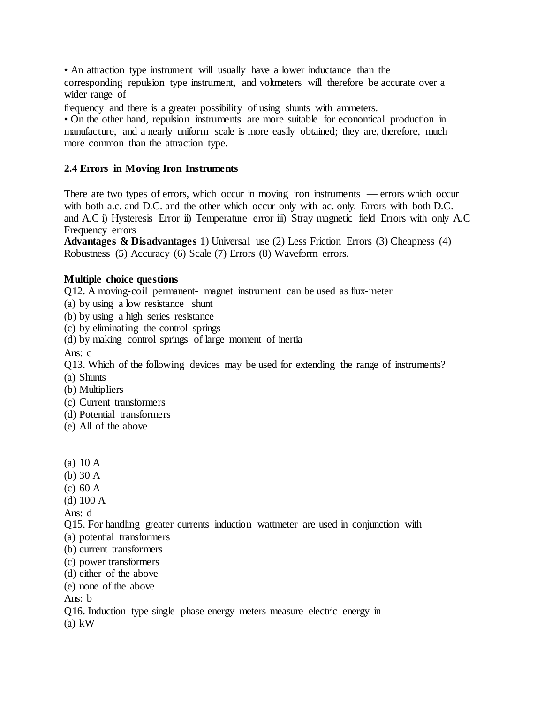• An attraction type instrument will usually have a lower inductance than the corresponding repulsion type instrument, and voltmeters will therefore be accurate over a wider range of

frequency and there is a greater possibility of using shunts with ammeters.

• On the other hand, repulsion instruments are more suitable for economical production in manufacture, and a nearly uniform scale is more easily obtained; they are, therefore, much more common than the attraction type.

# **2.4 Errors in Moving Iron Instruments**

There are two types of errors, which occur in moving iron instruments — errors which occur with both a.c. and D.C. and the other which occur only with ac. only. Errors with both D.C. and A.C i) Hysteresis Error ii) Temperature error iii) Stray magnetic field Errors with only A.C Frequency errors

**Advantages & Disadvantages** 1) Universal use (2) Less Friction Errors (3) Cheapness (4) Robustness (5) Accuracy (6) Scale (7) Errors (8) Waveform errors.

### **Multiple choice questions**

Q12. A moving-coil permanent- magnet instrument can be used as flux-meter

- (a) by using a low resistance shunt
- (b) by using a high series resistance
- (c) by eliminating the control springs
- (d) by making control springs of large moment of inertia

Ans: c

Q13. Which of the following devices may be used for extending the range of instruments?

- (a) Shunts
- (b) Multipliers
- (c) Current transformers
- (d) Potential transformers
- (e) All of the above
- (a) 10 A
- (b) 30 A
- (c) 60 A
- (d) 100 A

Ans: d

- Q15. For handling greater currents induction wattmeter are used in conjunction with
- (a) potential transformers
- (b) current transformers
- (c) power transformers
- (d) either of the above
- (e) none of the above

Ans: b

Q16. Induction type single phase energy meters measure electric energy in

(a) kW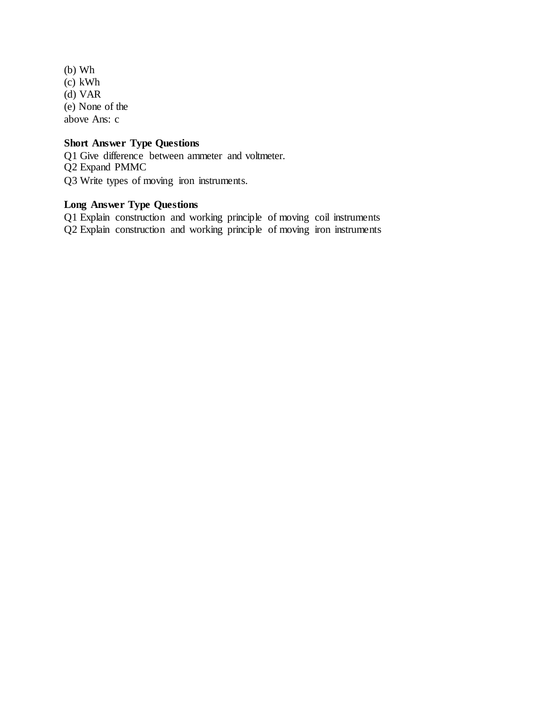(b) Wh (c) kWh (d) VAR (e) None of the above Ans: c

# **Short Answer Type Questions**

Q1 Give difference between ammeter and voltmeter. Q2 Expand PMMC Q3 Write types of moving iron instruments.

# **Long Answer Type Questions**

Q1 Explain construction and working principle of moving coil instruments Q2 Explain construction and working principle of moving iron instruments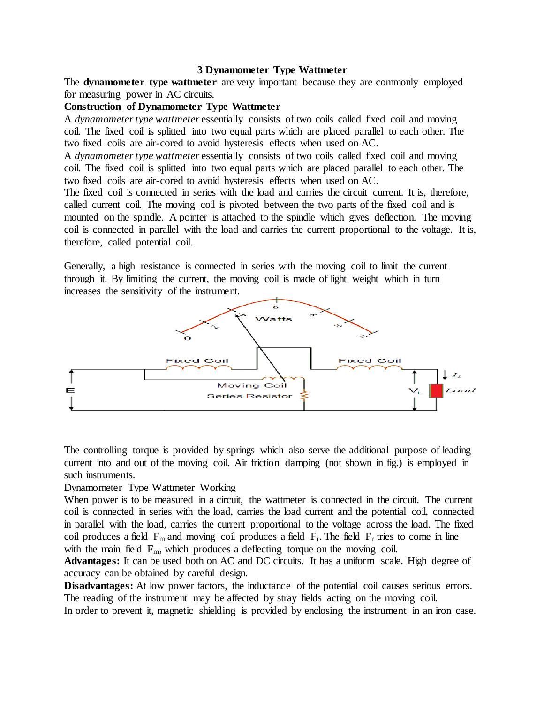#### **3 Dynamometer Type Wattmeter**

The **dynamometer type wattmeter** are very important because they are commonly employed for measuring power in AC circuits.

# **Construction of Dynamometer Type Wattmeter**

A *dynamometer type [wattmeter](https://en.wikipedia.org/wiki/Wattmeter)* essentially consists of two coils called fixed coil and moving coil. The fixed coil is splitted into two equal parts which are placed parallel to each other. The two fixed coils are air-cored to avoid [hysteresis](https://yourelectricalguide.com/2017/05/hysteresis-loop-hysteresis-loss.html) effects when used on AC.

A *dynamometer type [wattmeter](https://en.wikipedia.org/wiki/Wattmeter)* essentially consists of two coils called fixed coil and moving coil. The fixed coil is splitted into two equal parts which are placed parallel to each other. The two fixed coils are air-cored to avoid [hysteresis](https://yourelectricalguide.com/2017/05/hysteresis-loop-hysteresis-loss.html) effects when used on AC.

The fixed coil is connected in series with the load and carries the circuit current. It is, therefore, called current coil. The moving coil is pivoted between the two parts of the fixed coil and is mounted on the spindle. A pointer is attached to the spindle which gives deflection. The moving coil is connected in parallel with the load and carries the current proportional to the voltage. It is, therefore, called potential coil.

Generally, a high resistance is connected in series with the moving coil to limit the current through it. By limiting the current, the moving coil is made of light weight which in turn increases the sensitivity of the instrument.



The [controlling torque](https://yourelectricalguide.com/2017/01/deflecting-controlling-damping-torque.html) is provided by springs which also serve the additional purpose of leading current into and out of the moving coil. Air friction damping (not shown in fig.) is employed in such instruments.

### Dynamometer Type Wattmeter Working

When power is to be measured in a circuit, the [wattmeter](https://en.wikipedia.org/wiki/Wattmeter) is connected in the circuit. The current coil is connected in series with the load, carries the load current and the potential coil, connected in parallel with the load, carries the current proportional to the voltage across the load. The fixed coil produces a field  $F_m$  and moving coil produces a field  $F_r$ . The field  $F_r$  tries to come in line with the main field  $F_m$ , which produces a deflecting torque on the moving coil.

**Advantages:** It can be used both on AC and DC circuits. It has a uniform scale. High degree of accuracy can be obtained by careful design.

**Disadvantages:** At low [power factors,](https://yourelectricalguide.com/2017/04/power-factor.html) the inductance of the potential coil causes serious errors. The reading of the instrument may be affected by stray fields acting on the moving coil.

In order to prevent it, magnetic shielding is provided by enclosing the instrument in an iron case.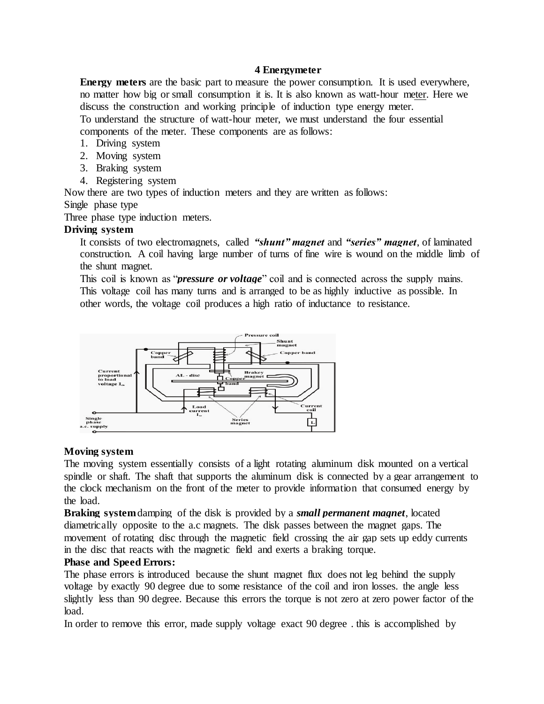### **4 Energymeter**

**Energy meters** are the basic part to measure the power consumption. It is used everywhere, no matter how big or small consumption it is. It is also known as [watt-hour](https://www.electrical4u.com/watt-hour-meter/) meter. Here we discuss the construction and working principle of induction type energy meter. To understand the structure of watt-hour meter, we must understand the four essential components of the meter. These components are as follows:

- 1. Driving system
- 2. Moving system
- 3. Braking system
- 4. Registering system

Now there are two types of induction meters and they are written as follows:

# Single phase type

Three phase type induction meters.

# **Driving system**

It consists of two electromagnets, called *"shunt" magnet* and *"series" magnet*, of laminated construction. A coil having large number of turns of fine wire is wound on the middle limb of the shunt magnet.

This coil is known as "*pressure or voltage*" coil and is connected across the supply mains. This voltage coil has many turns and is arranged to be as highly inductive as possible. In other words, the voltage coil produces a high ratio of inductance to resistance.



# **Moving system**

The moving system essentially consists of a light rotating aluminum disk mounted on a vertical spindle or shaft. The shaft that supports the aluminum disk is connected by a gear arrangement to the clock mechanism on the front of the meter to provide information that consumed energy by the load.

**Braking system**damping of the disk is provided by a *small permanent magnet*, located diametrically opposite to the a.c magnets. The disk passes between the magnet gaps. The movement of rotating disc through the magnetic field crossing the air gap sets up eddy currents in the disc that reacts with the magnetic field and exerts a braking torque.

# **Phase and Speed Errors:**

The phase errors is introduced because the shunt magnet flux does not leg behind the supply voltage by exactly 90 degree due to some resistance of the coil and iron losses. the angle less slightly less than 90 degree. Because this errors the torque is not zero at zero power factor of the load.

In order to remove this error, made supply voltage exact 90 degree . this is accomplished by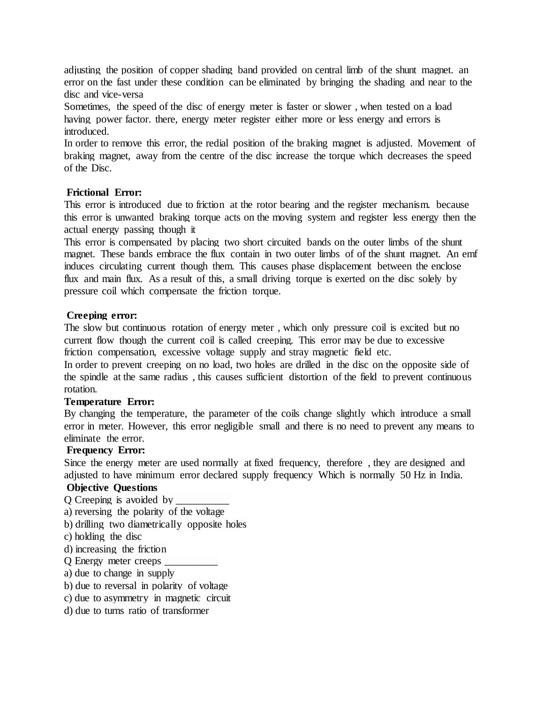adjusting the position of copper shading band provided on central limb of the shunt magnet. an error on the fast under these condition can be eliminated by bringing the shading and near to the disc and vice-versa

Sometimes, the speed of the disc of energy meter is faster or slower , when tested on a load having power factor. there, energy meter register either more or less energy and errors is introduced.

In order to remove this error, the redial position of the braking magnet is adjusted. Movement of braking magnet, away from the centre of the disc increase the torque which decreases the speed of the Disc.

### **Frictional Error:**

This error is introduced due to friction at the rotor bearing and the register mechanism. because this error is unwanted braking torque acts on the moving system and register less energy then the actual energy passing though it

This error is compensated by placing two short circuited bands on the outer limbs of the shunt magnet. These bands embrace the flux contain in two outer limbs of of the shunt magnet. An emf induces circulating current though them. This causes phase displacement between the enclose flux and main flux. As a result of this, a small driving torque is exerted on the disc solely by pressure coil which compensate the friction torque.

### **Creeping error:**

The slow but continuous rotation of energy meter , which only pressure coil is excited but no current flow though the current coil is called creeping. This error may be due to excessive friction compensation, excessive voltage supply and stray magnetic field etc.

In order to prevent creeping on no load, two holes are drilled in the disc on the opposite side of the spindle at the same radius , this causes sufficient distortion of the field to prevent continuous rotation.

# **Temperature Error:**

By changing the temperature, the parameter of the coils change slightly which introduce a small error in meter. However, this error negligible small and there is no need to prevent any means to eliminate the error.

#### **Frequency Error:**

Since the energy meter are used normally at fixed frequency, therefore , they are designed and adjusted to have minimum error declared supply frequency Which is normally 50 Hz in India.

# **Objective Questions**

Q Creeping is avoided by \_\_\_\_\_\_\_\_\_\_

a) reversing the polarity of the voltage

b) drilling two diametrically opposite holes

c) holding the disc

d) increasing the friction

Q Energy meter creeps \_\_\_\_\_\_\_\_\_\_

a) due to change in supply

b) due to reversal in polarity of voltage

c) due to asymmetry in magnetic circuit

d) due to turns ratio of transformer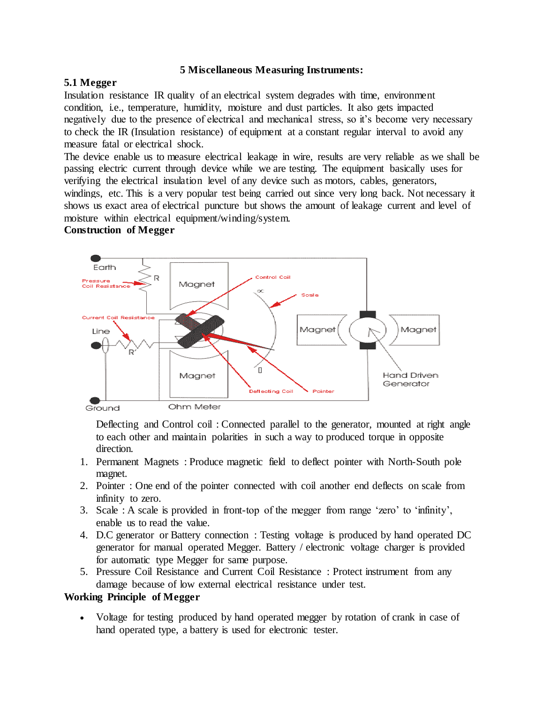### **5 Miscellaneous Measuring Instruments:**

# **5.1 Megger**

Insulation [resistance](https://www.electrical4u.com/electrical-resistance-and-laws-of-resistance/) IR quality of an electrical system degrades with time, environment condition, i.e., temperature, humidity, moisture and dust particles. It also gets impacted negatively due to the presence of electrical and mechanical stress, so it's become very necessary to check the IR (Insulation resistance) of equipment at a constant regular interval to avoid any measure fatal or electrical shock.

The device enable us to measure electrical leakage in wire, results are very reliable as we shall be passing [electric](https://www.electrical4u.com/electric-current-and-theory-of-electricity/) current through device while we are testing. The equipment basically uses for verifying the electrical insulation level of any device such as motors, cables, generators, windings, etc. This is a very popular test being carried out since very long back. Not necessary it shows us exact area of electrical puncture but shows the amount of leakage [current](https://www.electrical4u.com/electric-current-and-theory-of-electricity/) and level of moisture within electrical equipment/winding/system.

# **Construction of Megger**



Deflecting and Control coil : Connected parallel to the generator, mounted at right angle to each other and maintain polarities in such a way to produced torque in opposite direction.

- 1. Permanent Magnets : Produce [magnetic](https://www.electrical4u.com/what-is-magnetic-field/) field to deflect pointer with North-South pole magnet.
- 2. Pointer : One end of the pointer connected with coil another end deflects on scale from infinity to zero.
- 3. Scale : A scale is provided in front-top of the megger from range 'zero' to 'infinity', enable us to read the value.
- 4. D.C generator or Battery connection : Testing [voltage](https://www.electrical4u.com/voltage-or-electric-potential-difference/) is produced by hand operated [DC](https://www.electrical4u.com/principle-of-dc-generator/) [generator](https://www.electrical4u.com/principle-of-dc-generator/) for manual operated Megger. Battery / electronic voltage charger is provided for automatic type Megger for same purpose.
- 5. Pressure Coil Resistance and Current Coil Resistance : Protect instrument from any damage because of low external electrical resistance under test.

# **Working Principle of Megger**

 Voltage for testing produced by hand operated megger by rotation of crank in case of hand operated type, a battery is used for electronic tester.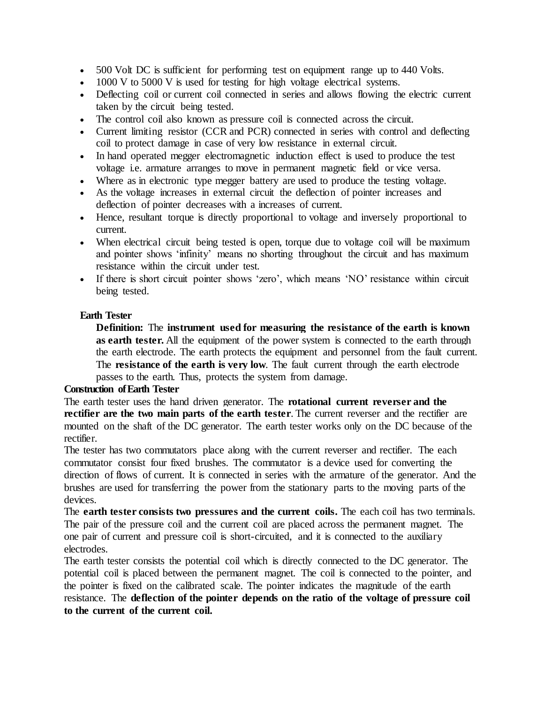- 500 Volt DC is sufficient for performing test on equipment range up to 440 Volts.
- 1000 V to 5000 V is used for testing for high voltage electrical systems.
- Deflecting coil or current coil connected in series and allows flowing the electric current taken by the circuit being tested.
- The control coil also known as pressure coil is connected across the circuit.
- Current limiting [resistor](https://www.electrical4u.com/types-of-resistor/) (CCR and PCR) connected in series with control and deflecting coil to protect damage in case of very low resistance in external circuit.
- In hand operated megger electromagnetic induction effect is used to produce the test voltage i.e. armature arranges to move in permanent magnetic field or vice versa.
- Where as in electronic type megger battery are used to produce the testing voltage.
- As the voltage increases in external circuit the deflection of pointer increases and deflection of pointer decreases with a increases of current.
- Hence, resultant torque is directly proportional to voltage and inversely proportional to current.
- When [electrical](https://www.electrical4u.com/electric-circuit-or-electrical-network/) circuit being tested is open, torque due to voltage coil will be maximum and pointer shows 'infinity' means no shorting throughout the circuit and has maximum resistance within the circuit under test.
- If there is short circuit pointer shows 'zero', which means 'NO' resistance within circuit being tested.

# **Earth Tester**

**Definition:** The **instrument used for measuring the resistance of the earth is known as earth tester.** All the equipment of the [power system](https://circuitglobe.com/power-system.html) is connected to the earth through the earth electrode. The earth protects the equipment and personnel from the fault current. The **resistance of the earth is very low**. The fault current through the earth electrode passes to the earth. Thus, protects the system from damage.

# **Construction of Earth Tester**

The earth tester uses the hand driven generator. The **rotational current reverser and the rectifier are the two main parts of the earth tester**. The current reverser and the rectifier are mounted on the shaft of the DC generator. The earth tester works only on the DC because of the rectifier.

The tester has two commutators place along with the current reverser and rectifier. The each commutator consist four fixed brushes. The commutator is a device used for converting the direction of flows of current. It is connected in series with the armature of the generator. And the brushes are used for transferring the power from the stationary parts to the moving parts of the devices.

The **earth tester consists two pressures and the current coils.** The each coil has two terminals. The pair of the pressure coil and the current coil are placed across the permanent magnet. The one pair of current and pressure coil is short-circuited, and it is connected to the auxiliary electrodes.

The earth tester consists the potential coil which is directly connected to the DC generator. The potential coil is placed between the permanent magnet. The coil is connected to the pointer, and the pointer is fixed on the calibrated scale. The pointer indicates the magnitude of the earth resistance. The **deflection of the pointer depends on the ratio of the voltage of pressure coil to the current of the current coil.**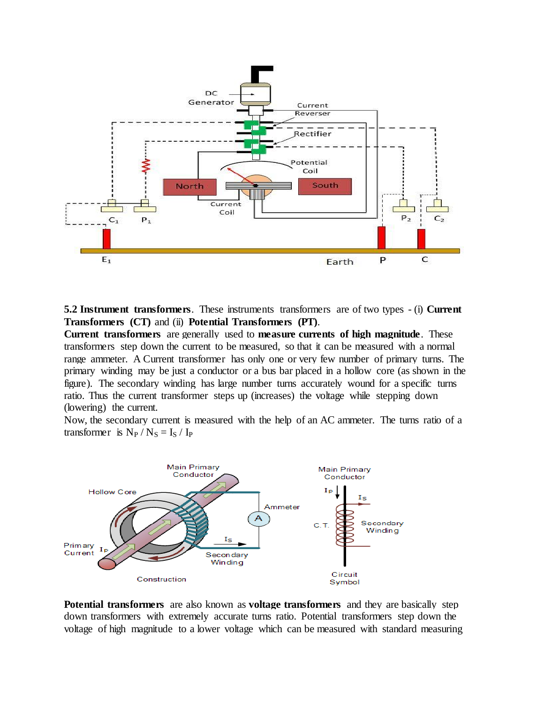

**5.2 Instrument transformers**. These instruments transformers are of two types - (i) **Current Transformers (CT)** and (ii) **Potential Transformers (PT)**.

**Current transformers** are generally used to **measure currents of high magnitude**. These transformers step down the current to be measured, so that it can be measured with a normal range ammeter. A Current transformer has only one or very few number of primary turns. The primary winding may be just a conductor or a bus bar placed in a hollow core (as shown in the figure). The secondary winding has large number turns accurately wound for a specific turns ratio. Thus the current transformer steps up (increases) the voltage while stepping down (lowering) the current.

Now, the secondary current is measured with the help of an AC ammeter. The turns ratio of a transformer is  $N_P / N_S = I_S / I_P$ 



**Potential transformers** are also known as **voltage transformers** and they are basically step down transformers with extremely accurate turns ratio. Potential transformers step down the voltage of high magnitude to a lower voltage which can be measured with standard measuring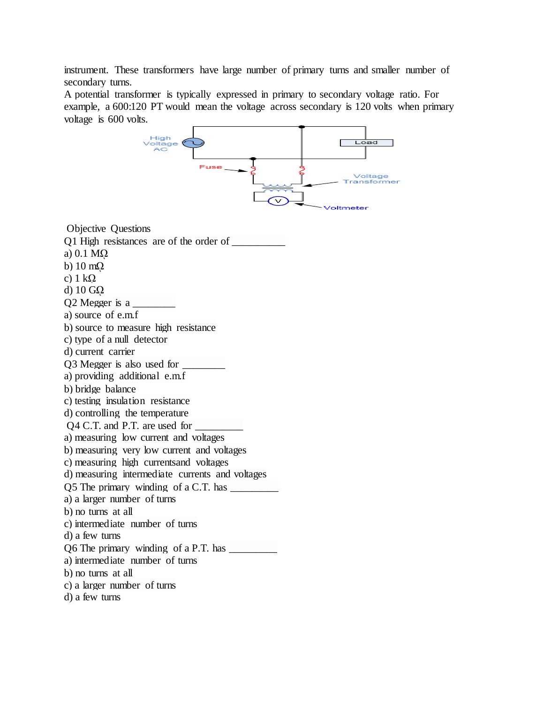instrument. These transformers have large number of primary turns and smaller number of secondary turns.

A potential transformer is typically expressed in primary to secondary voltage ratio. For example, a 600:120 PT would mean the voltage across secondary is 120 volts when primary voltage is 600 volts.

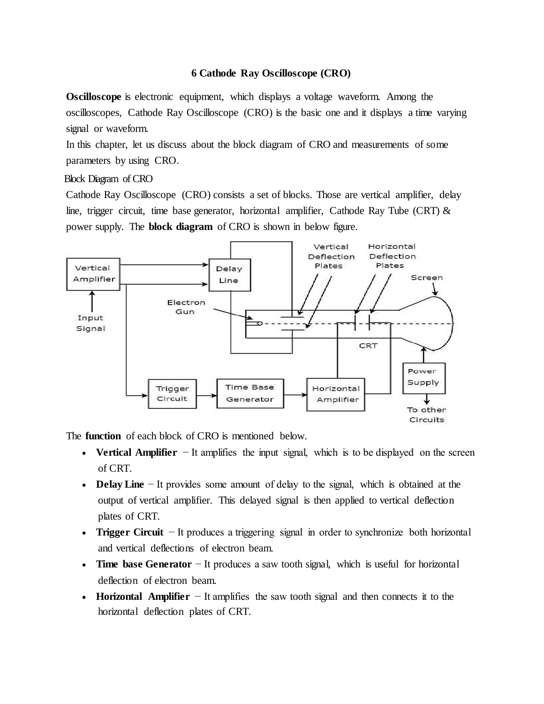# **6 Cathode Ray Oscilloscope (CRO)**

**Oscilloscope** is electronic equipment, which displays a voltage waveform. Among the oscilloscopes, Cathode Ray Oscilloscope (CRO) is the basic one and it displays a time varying signal or waveform.

In this chapter, let us discuss about the block diagram of CRO and measurements of some parameters by using CRO.

Block Diagram of CRO

Cathode Ray Oscilloscope (CRO) consists a set of blocks. Those are vertical amplifier, delay line, trigger circuit, time base generator, horizontal amplifier, Cathode Ray Tube (CRT)  $\&$ power supply. The **block diagram** of CRO is shown in below figure.



The **function** of each block of CRO is mentioned below.

- **Vertical Amplifier** − It amplifies the input signal, which is to be displayed on the screen of CRT.
- **Delay Line** − It provides some amount of delay to the signal, which is obtained at the output of vertical amplifier. This delayed signal is then applied to vertical deflection plates of CRT.
- **Trigger Circuit** − It produces a triggering signal in order to synchronize both horizontal and vertical deflections of electron beam.
- **Time base Generator** − It produces a saw tooth signal, which is useful for horizontal deflection of electron beam.
- **Horizontal Amplifier** − It amplifies the saw tooth signal and then connects it to the horizontal deflection plates of CRT.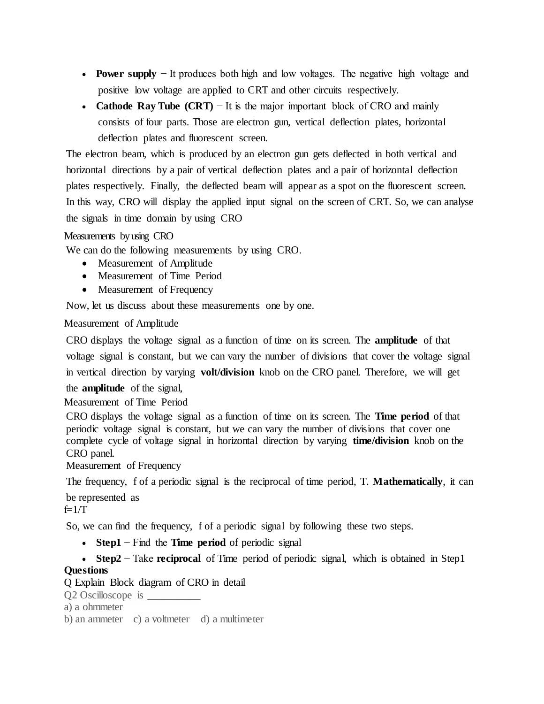- **Power supply** − It produces both high and low voltages. The negative high voltage and positive low voltage are applied to CRT and other circuits respectively.
- **Cathode Ray Tube (CRT)** − It is the major important block of CRO and mainly consists of four parts. Those are electron gun, vertical deflection plates, horizontal deflection plates and fluorescent screen.

The electron beam, which is produced by an electron gun gets deflected in both vertical and horizontal directions by a pair of vertical deflection plates and a pair of horizontal deflection plates respectively. Finally, the deflected beam will appear as a spot on the fluorescent screen. In this way, CRO will display the applied input signal on the screen of CRT. So, we can analyse the signals in time domain by using CRO

# Measurements by using CRO

We can do the following measurements by using CRO.

- Measurement of Amplitude
- Measurement of Time Period
- Measurement of Frequency

Now, let us discuss about these measurements one by one.

Measurement of Amplitude

CRO displays the voltage signal as a function of time on its screen. The **amplitude** of that voltage signal is constant, but we can vary the number of divisions that cover the voltage signal in vertical direction by varying **volt/division** knob on the CRO panel. Therefore, we will get the **amplitude** of the signal,

Measurement of Time Period

CRO displays the voltage signal as a function of time on its screen. The **Time period** of that periodic voltage signal is constant, but we can vary the number of divisions that cover one complete cycle of voltage signal in horizontal direction by varying **time/division** knob on the CRO panel.

Measurement of Frequency

The frequency, f of a periodic signal is the reciprocal of time period, T. **Mathematically**, it can

be represented as  $f=1/T$ 

So, we can find the frequency, f of a periodic signal by following these two steps.

- **Step1** − Find the **Time period** of periodic signal
- **Step2** − Take **reciprocal** of Time period of periodic signal, which is obtained in Step1

# **Questions**

Q Explain Block diagram of CRO in detail

Q2 Oscilloscope is

- a) a ohmmeter
- b) an ammeter c) a voltmeter d) a multimeter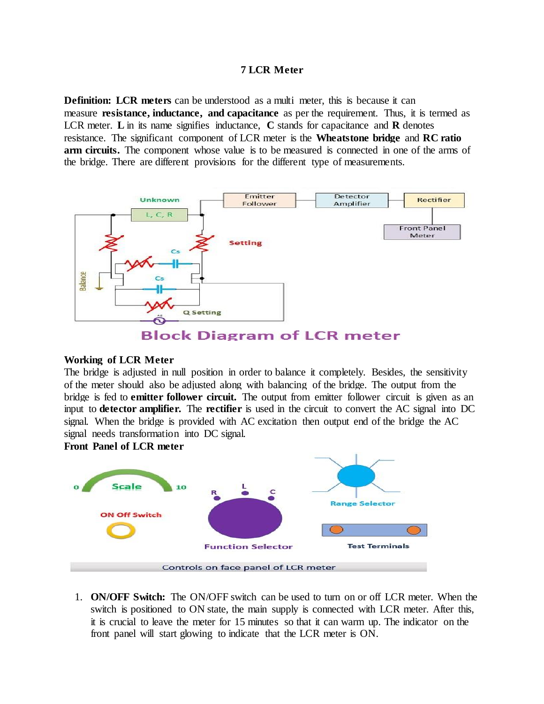### **7 LCR Meter**

**Definition:** LCR meters can be understood as a multi meter, this is because it can measure **resistance, inductance, and capacitance** as per the requirement. Thus, it is termed as LCR meter. **L** in its name signifies inductance, **C** stands for capacitance and **R** denotes resistance. The significant component of LCR meter is the **Wheatstone bridge** and **RC ratio arm circuits.** The component whose value is to be measured is connected in one of the arms of the bridge. There are different provisions for the different type of measurements.



#### **Working of LCR Meter**

The bridge is adjusted in null position in order to balance it completely. Besides, the sensitivity of the meter should also be adjusted along with balancing of the bridge. The output from the bridge is fed to **emitter follower circuit.** The output from emitter follower circuit is given as an input to **detector amplifier.** The **rectifier** is used in the circuit to convert the AC signal into DC signal. When the bridge is provided with AC excitation then output end of the bridge the AC signal needs transformation into DC signal.

**Front Panel of LCR meter**



1. **ON/OFF Switch:** The ON/OFF switch can be used to turn on or off LCR meter. When the switch is positioned to ON state, the main supply is connected with LCR meter. After this, it is crucial to leave the meter for 15 minutes so that it can warm up. The indicator on the front panel will start glowing to indicate that the LCR meter is ON.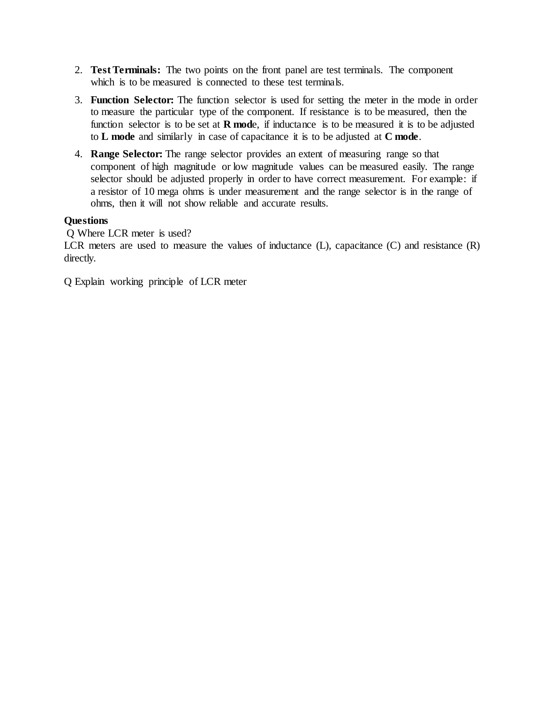- 2. **Test Terminals:** The two points on the front panel are test terminals. The component which is to be measured is connected to these test terminals.
- 3. **Function Selector:** The function selector is used for setting the meter in the mode in order to measure the particular type of the component. If resistance is to be measured, then the function selector is to be set at **R mod**e, if inductance is to be measured it is to be adjusted to **L mode** and similarly in case of capacitance it is to be adjusted at **C mode**.
- 4. **Range Selector:** The range selector provides an extent of measuring range so that component of high magnitude or low magnitude values can be measured easily. The range selector should be adjusted properly in order to have correct measurement. For example: if a resistor of 10 mega ohms is under measurement and the range selector is in the range of ohms, then it will not show reliable and accurate results.

# **Questions**

Q Where LCR meter is used?

LCR meters are used to measure the values of inductance (L), capacitance (C) and resistance (R) directly.

Q Explain working principle of LCR meter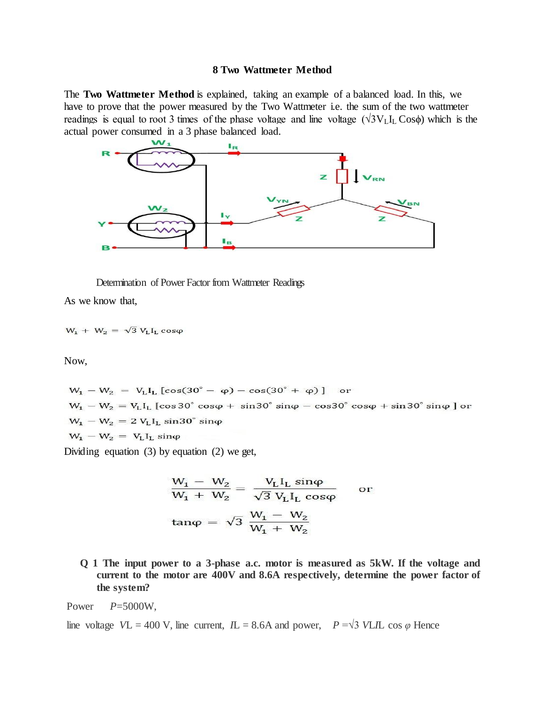#### **8 Two Wattmeter Method**

The **Two Wattmeter Method** is explained, taking an example of a balanced load. In this, we have to prove that the power measured by the Two Wattmeter i.e. the sum of the two wattmeter readings is equal to root 3 times of the phase voltage and line voltage ( $\sqrt{3}V_L$ I<sub>L</sub> Cos $\phi$ ) which is the actual power consumed in a 3 phase balanced load.



Determination of Power Factor from Wattmeter Readings

As we know that,

$$
W_1 + W_2 = \sqrt{3} V_L I_L \cos \varphi
$$

Now,

$$
W_1 - W_2 = V_L I_L [\cos(30^\circ - \varphi) - \cos(30^\circ + \varphi)] \text{ or}
$$
  
\n
$$
W_1 - W_2 = V_L I_L [\cos 30^\circ \cos \varphi + \sin 30^\circ \sin \varphi - \cos 30^\circ \cos \varphi + \sin 30^\circ \sin \varphi] \text{ or}
$$
  
\n
$$
W_1 - W_2 = 2 V_L I_L \sin 30^\circ \sin \varphi
$$
  
\n
$$
W_1 - W_2 = V_L I_L \sin \varphi
$$

Dividing equation (3) by equation (2) we get,

$$
\frac{W_1 - W_2}{W_1 + W_2} = \frac{V_L I_L \sin\varphi}{\sqrt{3} V_L I_L \cos\varphi} \quad \text{or}
$$

$$
\tan\varphi = \sqrt{3} \frac{W_1 - W_2}{W_1 + W_2}
$$

**Q 1 The input power to a 3-phase a.c. motor is measured as 5kW. If the voltage and current to the motor are 400V and 8.6A respectively, determine the power factor of the system?**

Power *P*=5000W,

line voltage *VL* = 400 V, line current, *IL* = 8.6A and power, *P* =  $\sqrt{3}$  *VLIL* cos  $\varphi$  Hence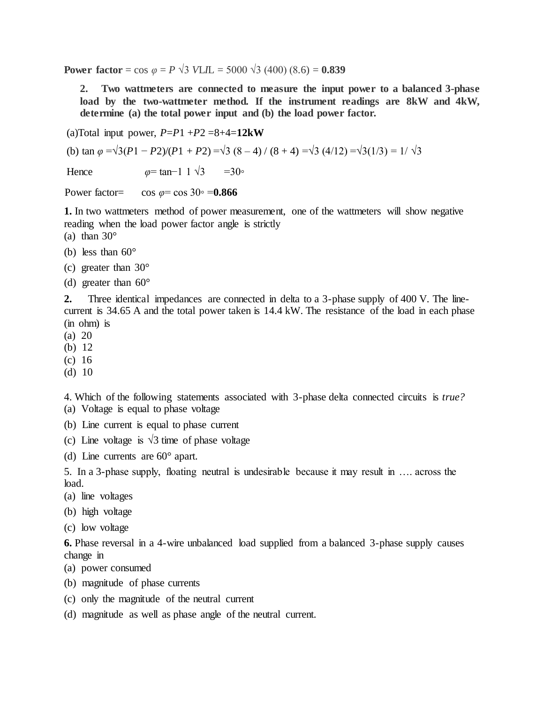**Power factor** = cos  $\varphi = P \sqrt{3}$  *VLI*L = 5000  $\sqrt{3}$  (400) (8*.*6) = **0.839** 

**2. Two wattmeters are connected to measure the input power to a balanced 3-phase load by the two-wattmeter method. If the instrument readings are 8kW and 4kW, determine (a) the total power input and (b) the load power factor.**

(a)Total input power,  $P = P1 + P2 = 8 + 4 = 12$ **kW** 

(b) tan  $\varphi = \sqrt{3(P_1 - P_2)/(P_1 + P_2)} = \sqrt{3(8 - 4)/(8 + 4)} = \sqrt{3(4/12)} = \sqrt{3(1/3)} = 1/\sqrt{3}$ 

Hence  $\omega = \tan^{-1} 1 \sqrt{3} = 30$ <sup>°</sup>

Power factor= cos  $\varphi$ = cos 30∘ =**0.866** 

**1.** In two wattmeters method of power measurement, one of the wattmeters will show negative reading when the load power factor angle is strictly

- (a) than  $30^\circ$
- (b) less than  $60^\circ$
- (c) greater than  $30^{\circ}$
- (d) greater than  $60^{\circ}$

**2.** Three identical impedances are connected in delta to a 3-phase supply of 400 V. The linecurrent is 34.65 A and the total power taken is 14.4 kW. The resistance of the load in each phase (in ohm) is

- (a) 20
- (b) 12
- (c) 16
- (d) 10

4. Which of the following statements associated with 3-phase delta connected circuits is *true?* (a) Voltage is equal to phase voltage

- (b) Line current is equal to phase current
- (c) Line voltage is  $\sqrt{3}$  time of phase voltage
- (d) Line currents are 60° apart.

5. In a 3-phase supply, floating neutral is undesirable because it may result in …. across the load.

- (a) line voltages
- (b) high voltage
- (c) low voltage

**6.** Phase reversal in a 4-wire unbalanced load supplied from a balanced 3-phase supply causes change in

- (a) power consumed
- (b) magnitude of phase currents
- (c) only the magnitude of the neutral current
- (d) magnitude as well as phase angle of the neutral current.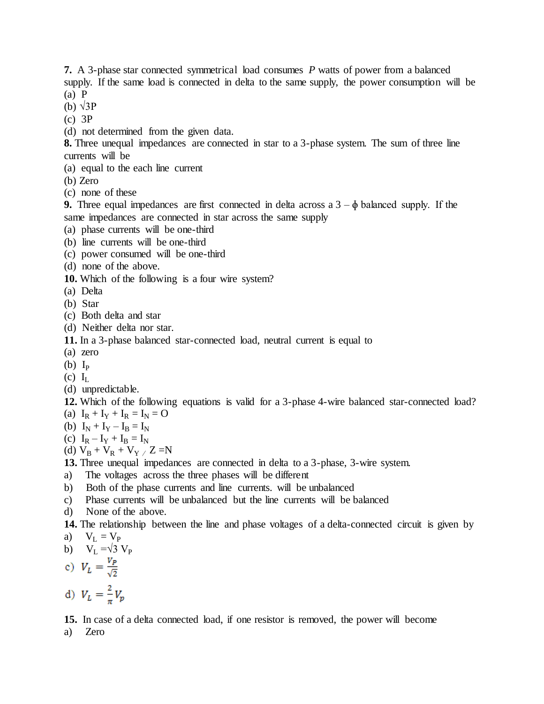**7.** A 3-phase star connected symmetrical load consumes *P* watts of power from a balanced supply. If the same load is connected in delta to the same supply, the power consumption will be (a) P

(b) √3P

- (c) 3P
- (d) not determined from the given data.

**8.** Three unequal impedances are connected in star to a 3-phase system. The sum of three line currents will be

- (a) equal to the each line current
- (b) Zero
- (c) none of these

**9.** Three equal impedances are first connected in delta across a  $3 - \phi$  balanced supply. If the same impedances are connected in star across the same supply

- (a) phase currents will be one-third
- (b) line currents will be one-third
- (c) power consumed will be one-third
- (d) none of the above.
- **10.** Which of the following is a four wire system?
- (a) Delta
- (b) Star
- (c) Both delta and star
- (d) Neither delta nor star.

**11.** In a 3-phase balanced star-connected load, neutral current is equal to

- (a) zero
- (b)  $I_P$
- $(c)$   $I_L$
- (d) unpredictable.
- **12.** Which of the following equations is valid for a 3-phase 4-wire balanced star-connected load? (a)  $I_R + I_Y + I_R = I_N = O$
- (b)  $I_N + I_Y I_B = I_N$
- (c)  $I_R I_Y + I_B = I_N$
- (d)  $V_B + V_R + V_Y / Z = N$
- **13.** Three unequal impedances are connected in delta to a 3-phase, 3-wire system.
- a) The voltages across the three phases will be different
- b) Both of the phase currents and line currents. will be unbalanced
- c) Phase currents will be unbalanced but the line currents will be balanced
- d) None of the above.

**14.** The relationship between the line and phase voltages of a delta-connected circuit is given by a)  $V_L = V_P$ 

b) 
$$
V_L = \sqrt{3} V_P
$$

c) 
$$
V_L = \frac{V_P}{\sqrt{2}}
$$

d)  $V_L = \frac{2}{\pi} V_p$ 

**15.** In case of a delta connected load, if one resistor is removed, the power will become a) Zero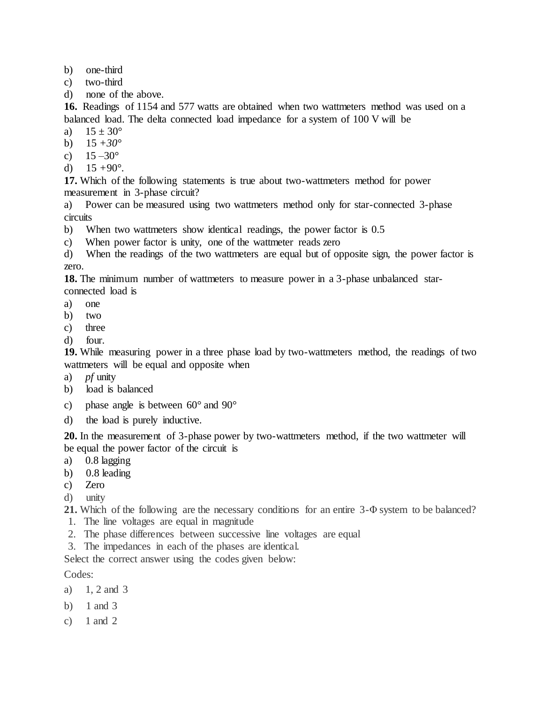- b) one-third
- c) two-third
- d) none of the above.

**16.** Readings of 1154 and 577 watts are obtained when two wattmeters method was used on a balanced load. The delta connected load impedance for a system of 100 V will be

- a)  $15 \pm 30^{\circ}$
- b) 15 *+30°*
- c)  $15 30^{\circ}$
- d)  $15 + 90^\circ$ .

**17.** Which of the following statements is true about two-wattmeters method for power measurement in 3-phase circuit?

a) Power can be measured using two wattmeters method only for star-connected 3-phase circuits

- b) When two wattmeters show identical readings, the power factor is 0.5
- c) When power factor is unity, one of the wattmeter reads zero

d) When the readings of the two wattmeters are equal but of opposite sign, the power factor is zero.

**18.** The minimum number of wattmeters to measure power in a 3-phase unbalanced starconnected load is

- a) one
- b) two
- c) three
- d) four.

**19.** While measuring power in a three phase load by two-wattmeters method, the readings of two wattmeters will be equal and opposite when

- a) *pf* unity
- b) load is balanced
- c) phase angle is between  $60^{\circ}$  and  $90^{\circ}$
- d) the load is purely inductive.

**20.** In the measurement of 3-phase power by two-wattmeters method, if the two wattmeter will be equal the power factor of the circuit is

- a) 0.8 lagging
- b) 0.8 leading
- c) Zero
- d) unity
- **21.** Which of the following are the necessary conditions for an entire 3-Φ system to be balanced?
- 1. The line voltages are equal in magnitude
- 2. The phase differences between successive line voltages are equal
- 3. The impedances in each of the phases are identical.

Select the correct answer using the codes given below:

Codes:

- a) 1, 2 and 3
- b) 1 and 3
- c)  $1$  and  $2$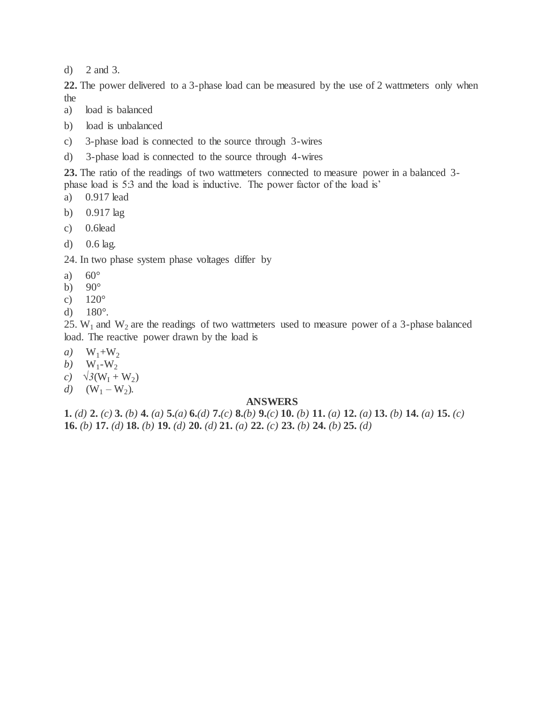d) 2 and 3.

**22.** The power delivered to a 3-phase load can be measured by the use of 2 wattmeters only when the

- a) load is balanced
- b) load is unbalanced
- c) 3-phase load is connected to the source through 3-wires
- d) 3-phase load is connected to the source through 4-wires

**23.** The ratio of the readings of two wattmeters connected to measure power in a balanced 3 phase load is 5:3 and the load is inductive. The power factor of the load is'

- a) 0.917 lead
- b) 0.917 lag
- c) 0.6lead
- d) 0.6 lag.

24. In two phase system phase voltages differ by

- a)  $60^\circ$
- b)  $90^\circ$
- c)  $120^\circ$
- d) 180°.

25. W<sub>1</sub> and W<sub>2</sub> are the readings of two wattmeters used to measure power of a 3-phase balanced load. The reactive power drawn by the load is

- *a*)  $W_1 + W_2$
- *b*)  $W_1-W_2$
- *c*)  $\sqrt{3(W_1 + W_2)}$
- *d*)  $(W_1 W_2)$ .

#### **ANSWERS**

**1.** (d) **2.** (c) **3.** (b) **4.** (a) **5.**(a) **6.**(d) **7.**(c) **8.**(b) **9.**(c) **10.** (b) **11.** (a) **12.** (a) **13.** (b) **14.** (a) **15.** (c) **16.** *(b)* **17.** *(d)* **18.** *(b)* **19.** *(d)* **20.** *(d)* **21.** *(a)* **22.** *(c)* **23.** *(b)* **24.** *(b)* **25.** *(d)*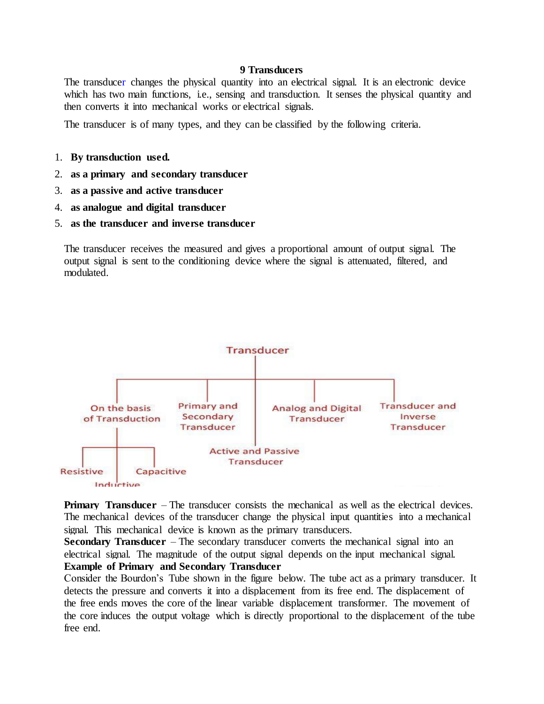#### **9 Transducers**

The [transducer](https://circuitglobe.com/transducer.html) changes the physical quantity into an electrical signal. It is an electronic device which has two main functions, i.e., sensing and transduction. It senses the physical quantity and then converts it into mechanical works or electrical signals.

The transducer is of many types, and they can be classified by the following criteria.

- 1. **By transduction used.**
- 2. **as a primary and secondary transducer**
- 3. **as a passive and active transducer**
- 4. **as analogue and digital transducer**
- 5. **as the transducer and inverse transducer**

The transducer receives the measured and gives a proportional amount of output signal. The output signal is sent to the conditioning device where the signal is attenuated, filtered, and modulated.



**Primary Transducer** – The transducer consists the mechanical as well as the electrical devices. The mechanical devices of the transducer change the physical input quantities into a mechanical signal. This mechanical device is known as the primary transducers.

**Secondary Transducer** – The secondary transducer converts the mechanical signal into an electrical signal. The magnitude of the output signal depends on the input mechanical signal. **Example of Primary and Secondary Transducer**

Consider the Bourdon's Tube shown in the figure below. The tube act as a primary transducer. It detects the pressure and converts it into a displacement from its free end. The displacement of the free ends moves the core of the linear variable displacement transformer. The movement of the core induces the output voltage which is directly proportional to the displacement of the tube free end.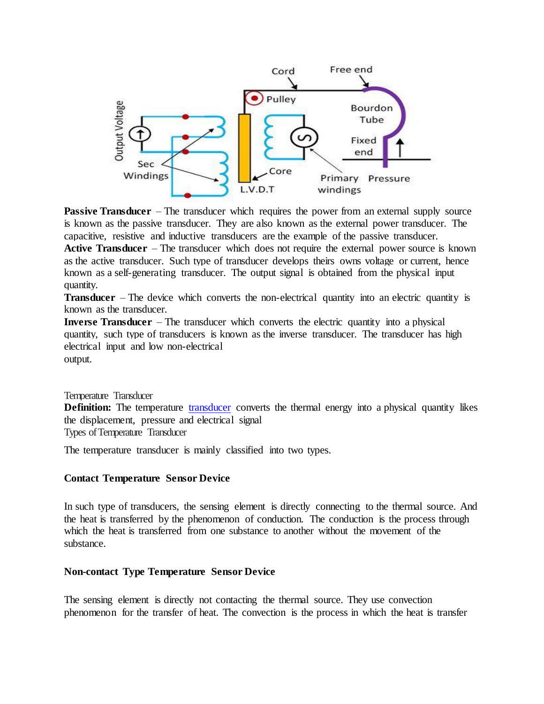

**Passive Transducer** – The transducer which requires the power from an external supply source is known as the passive transducer. They are also known as the external power transducer. The capacitive, resistive and inductive transducers are the example of the passive transducer. **Active Transducer** – The transducer which does not require the external power source is known as the active transducer. Such type of transducer develops theirs owns voltage or current, hence known as a self-generating transducer. The output signal is obtained from the physical input quantity.

**Transducer** – The device which converts the non-electrical quantity into an electric quantity is known as the transducer.

**Inverse Transducer** – The transducer which converts the electric quantity into a physical quantity, such type of transducers is known as the inverse transducer. The transducer has high electrical input and low non-electrical

output.

Temperature Transducer

**Definition:** The temperature [transducer](https://circuitglobe.com/transducer.html) converts the thermal energy into a physical quantity likes the displacement, pressure and electrical signal Types of Temperature Transducer

The temperature transducer is mainly classified into two types.

# **Contact Temperature Sensor Device**

In such type of transducers, the sensing element is directly connecting to the thermal source. And the heat is transferred by the phenomenon of conduction. The conduction is the process through which the heat is transferred from one substance to another without the movement of the substance.

# **Non-contact Type Temperature Sensor Device**

The sensing element is directly not contacting the thermal source. They use convection phenomenon for the transfer of heat. The convection is the process in which the heat is transfer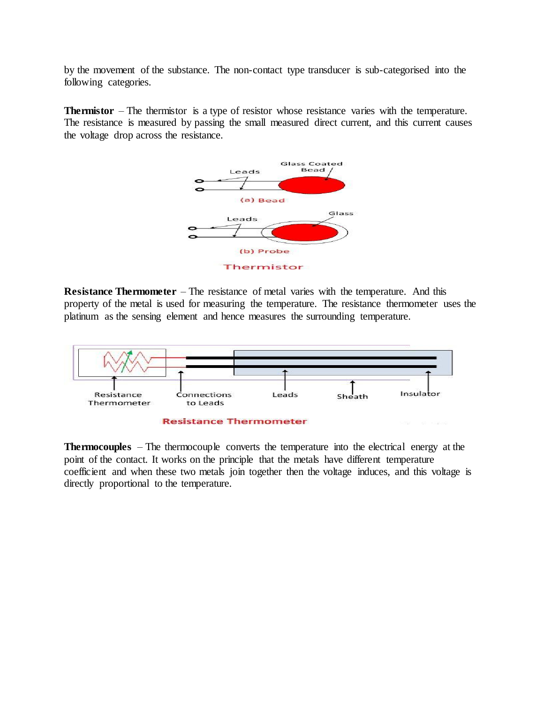by the movement of the substance. The non-contact type transducer is sub-categorised into the following categories.

**Thermistor** – The thermistor is a type of resistor whose resistance varies with the temperature. The resistance is measured by passing the small measured direct current, and this current causes the voltage drop across the resistance.



**Resistance Thermometer** – The resistance of metal varies with the temperature. And this property of the metal is used for measuring the temperature. The resistance thermometer uses the platinum as the sensing element and hence measures the surrounding temperature.



**Thermocouples** – The thermocouple converts the temperature into the electrical energy at the point of the contact. It works on the principle that the metals have different temperature coefficient and when these two metals join together then the voltage induces, and this voltage is directly proportional to the temperature.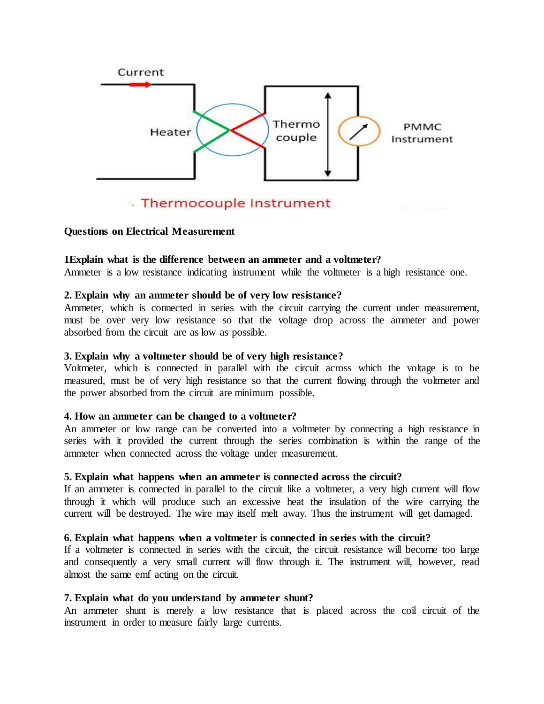

# . Thermocouple Instrument

#### **Questions on Electrical Measurement**

#### **1Explain what is the difference between an ammeter and a voltmeter?**

Ammeter is a low resistance indicating instrument while the voltmeter is a high resistance one.

#### **2. Explain why an ammeter should be of very low resistance?**

Ammeter, which is connected in series with the circuit carrying the current under measurement, must be over very low resistance so that the voltage drop across the ammeter and power absorbed from the circuit are as low as possible.

#### **3. Explain why a voltmeter should be of very high resistance?**

Voltmeter, which is connected in parallel with the circuit across which the voltage is to be measured, must be of very high resistance so that the current flowing through the voltmeter and the power absorbed from the circuit are minimum possible.

#### **4. How an ammeter can be changed to a voltmeter?**

An ammeter or low range can be converted into a voltmeter by connecting a high resistance in series with it provided the current through the series combination is within the range of the ammeter when connected across the voltage under measurement.

#### **5. Explain what happens when an ammeter is connected across the circuit?**

If an ammeter is connected in parallel to the circuit like a voltmeter, a very high current will flow through it which will produce such an excessive heat the insulation of the wire carrying the current will be destroyed. The wire may itself melt away. Thus the instrument will get damaged.

#### **6. Explain what happens when a voltmeter is connected in series with the circuit?**

If a voltmeter is connected in series with the circuit, the circuit resistance will become too large and consequently a very small current will flow through it. The instrument will, however, read almost the same emf acting on the circuit.

#### **7. Explain what do you understand by ammeter shunt?**

An ammeter shunt is merely a low resistance that is placed across the coil circuit of the instrument in order to measure fairly large currents.